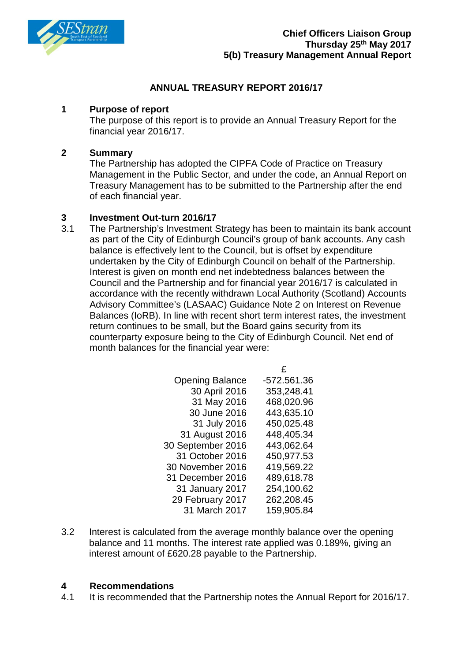

### **ANNUAL TREASURY REPORT 2016/17**

### **1 Purpose of report**

The purpose of this report is to provide an Annual Treasury Report for the financial year 2016/17.

### **2 Summary**

The Partnership has adopted the CIPFA Code of Practice on Treasury Management in the Public Sector, and under the code, an Annual Report on Treasury Management has to be submitted to the Partnership after the end of each financial year.

## **3 Investment Out-turn 2016/17**

The Partnership's Investment Strategy has been to maintain its bank account as part of the City of Edinburgh Council's group of bank accounts. Any cash balance is effectively lent to the Council, but is offset by expenditure undertaken by the City of Edinburgh Council on behalf of the Partnership. Interest is given on month end net indebtedness balances between the Council and the Partnership and for financial year 2016/17 is calculated in accordance with the recently withdrawn Local Authority (Scotland) Accounts Advisory Committee's (LASAAC) Guidance Note 2 on Interest on Revenue Balances (IoRB). In line with recent short term interest rates, the investment return continues to be small, but the Board gains security from its counterparty exposure being to the City of Edinburgh Council. Net end of month balances for the financial year were:

| <b>Opening Balance</b> | -572.561.36 |
|------------------------|-------------|
| 30 April 2016          | 353,248.41  |
| 31 May 2016            | 468,020.96  |
| 30 June 2016           | 443,635.10  |
| 31 July 2016           | 450,025.48  |
| 31 August 2016         | 448,405.34  |
| 30 September 2016      | 443,062.64  |
| 31 October 2016        | 450,977.53  |
| 30 November 2016       | 419,569.22  |
| 31 December 2016       | 489,618.78  |
| 31 January 2017        | 254,100.62  |
| 29 February 2017       | 262,208.45  |
| 31 March 2017          | 159,905.84  |
|                        |             |

 $\Delta$ 

3.2 Interest is calculated from the average monthly balance over the opening balance and 11 months. The interest rate applied was 0.189%, giving an interest amount of £620.28 payable to the Partnership.

# **4 Recommendations**

It is recommended that the Partnership notes the Annual Report for 2016/17.